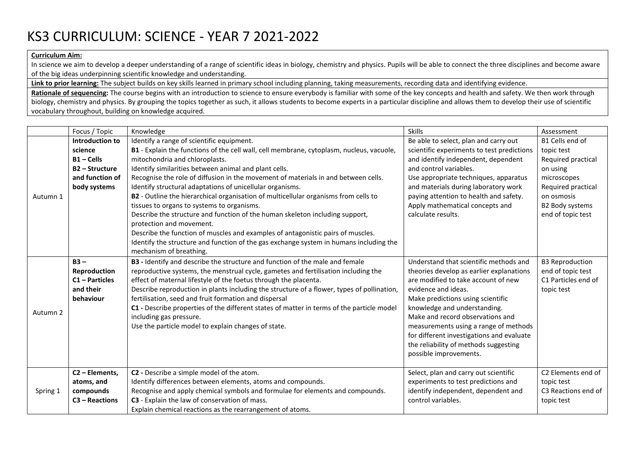## KS3 CURRICULUM: SCIENCE - YEAR 7 2021-2022

## **Curriculum Aim:**

In science we aim to develop a deeper understanding of a range of scientific ideas in biology, chemistry and physics. Pupils will be able to connect the three disciplines and become aware of the big ideas underpinning scientific knowledge and understanding.

Link to prior learning: The subject builds on key skills learned in primary school including planning, taking measurements, recording data and identifying evidence.

Rationale of sequencing: The course begins with an introduction to science to ensure everybody is familiar with some of the key concepts and health and safety. We then work through biology, chemistry and physics. By grouping the topics together as such, it allows students to become experts in a particular discipline and allows them to develop their use of scientific vocabulary throughout, building on knowledge acquired.

|          | Focus / Topic                 | Knowledge                                                                                                                      | <b>Skills</b>                                             | Assessment                       |
|----------|-------------------------------|--------------------------------------------------------------------------------------------------------------------------------|-----------------------------------------------------------|----------------------------------|
| Autumn 1 | Introduction to               | Identify a range of scientific equipment.                                                                                      | Be able to select, plan and carry out                     | B1 Cells end of                  |
|          | science                       | B1 - Explain the functions of the cell wall, cell membrane, cytoplasm, nucleus, vacuole,                                       | scientific experiments to test predictions                | topic test                       |
|          | $B1 -$ Cells                  | mitochondria and chloroplasts.                                                                                                 | and identify independent, dependent                       | Required practical               |
|          | <b>B2-Structure</b>           | Identify similarities between animal and plant cells.                                                                          | and control variables.                                    | on using                         |
|          | and function of               | Recognise the role of diffusion in the movement of materials in and between cells.                                             | Use appropriate techniques, apparatus                     | microscopes                      |
|          | body systems                  | Identify structural adaptations of unicellular organisms.                                                                      | and materials during laboratory work                      | Required practical               |
|          |                               | B2 - Outline the hierarchical organisation of multicellular organisms from cells to                                            | paying attention to health and safety.                    | on osmosis                       |
|          |                               | tissues to organs to systems to organisms.                                                                                     | Apply mathematical concepts and                           | B2 Body systems                  |
|          |                               | Describe the structure and function of the human skeleton including support,                                                   | calculate results.                                        | end of topic test                |
|          |                               | protection and movement.                                                                                                       |                                                           |                                  |
|          |                               | Describe the function of muscles and examples of antagonistic pairs of muscles.                                                |                                                           |                                  |
|          |                               | Identify the structure and function of the gas exchange system in humans including the                                         |                                                           |                                  |
|          |                               | mechanism of breathing.                                                                                                        |                                                           |                                  |
|          | $B3 -$                        | B3 - Identify and describe the structure and function of the male and female                                                   | Understand that scientific methods and                    | <b>B3 Reproduction</b>           |
| Autumn 2 | Reproduction                  | reproductive systems, the menstrual cycle, gametes and fertilisation including the                                             | theories develop as earlier explanations                  | end of topic test                |
|          | $C1$ – Particles              | effect of maternal lifestyle of the foetus through the placenta.                                                               | are modified to take account of new                       | C1 Particles end of              |
|          | and their                     | Describe reproduction in plants including the structure of a flower, types of pollination,                                     | evidence and ideas.                                       | topic test                       |
|          | behaviour                     | fertilisation, seed and fruit formation and dispersal                                                                          | Make predictions using scientific                         |                                  |
|          |                               | C1 - Describe properties of the different states of matter in terms of the particle model                                      | knowledge and understanding.                              |                                  |
|          |                               | including gas pressure.                                                                                                        | Make and record observations and                          |                                  |
|          |                               | Use the particle model to explain changes of state.                                                                            | measurements using a range of methods                     |                                  |
|          |                               |                                                                                                                                | for different investigations and evaluate                 |                                  |
|          |                               |                                                                                                                                | the reliability of methods suggesting                     |                                  |
|          |                               |                                                                                                                                | possible improvements.                                    |                                  |
|          |                               |                                                                                                                                |                                                           |                                  |
| Spring 1 | C2 - Elements,                | C2 - Describe a simple model of the atom.                                                                                      | Select, plan and carry out scientific                     | C2 Elements end of<br>topic test |
|          | atoms, and                    | Identify differences between elements, atoms and compounds.                                                                    | experiments to test predictions and                       | C3 Reactions end of              |
|          | compounds<br>$C3 - Reactions$ | Recognise and apply chemical symbols and formulae for elements and compounds.<br>C3 - Explain the law of conservation of mass. | identify independent, dependent and<br>control variables. |                                  |
|          |                               | Explain chemical reactions as the rearrangement of atoms.                                                                      |                                                           | topic test                       |
|          |                               |                                                                                                                                |                                                           |                                  |